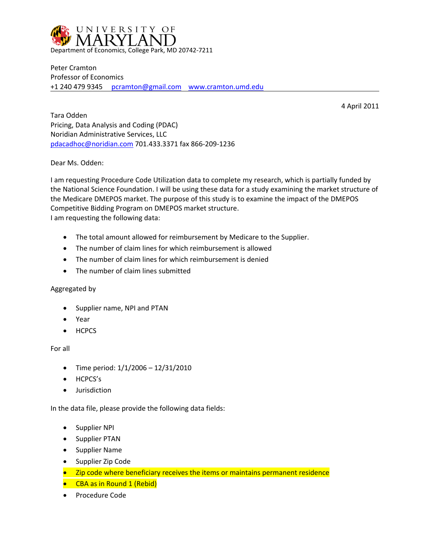

Peter Cramton Professor of Economics +1 240 479 9345 [pcramton@gmail.com](mailto:pcramton@gmail.com) [www.cramton.umd.edu](https://www.cramton.umd.edu/)

4 April 2011

Tara Odden Pricing, Data Analysis and Coding (PDAC) Noridian Administrative Services, LLC [pdacadhoc@noridian.com](mailto:pdacadhoc@noridian.com) 701.433.3371 fax 866-209-1236

Dear Ms. Odden:

I am requesting Procedure Code Utilization data to complete my research, which is partially funded by the National Science Foundation. I will be using these data for a study examining the market structure of the Medicare DMEPOS market. The purpose of this study is to examine the impact of the DMEPOS Competitive Bidding Program on DMEPOS market structure. I am requesting the following data:

- The total amount allowed for reimbursement by Medicare to the Supplier.
- The number of claim lines for which reimbursement is allowed
- The number of claim lines for which reimbursement is denied
- The number of claim lines submitted

## Aggregated by

- Supplier name, NPI and PTAN
- Year
- HCPCS

For all

- Time period:  $1/1/2006 12/31/2010$
- HCPCS's
- **•** Jurisdiction

In the data file, please provide the following data fields:

- **•** Supplier NPI
- Supplier PTAN
- Supplier Name
- Supplier Zip Code
- Zip code where beneficiary receives the items or maintains permanent residence
- CBA as in Round 1 (Rebid)
- Procedure Code